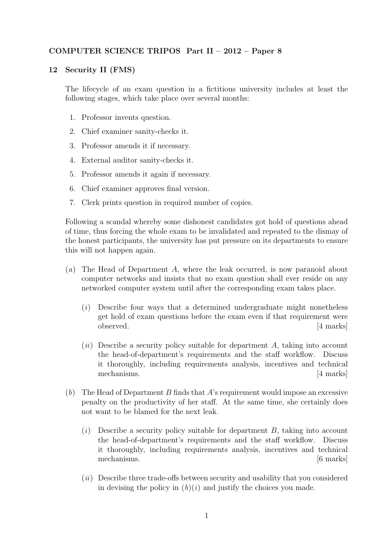## COMPUTER SCIENCE TRIPOS Part II – 2012 – Paper 8

## 12 Security II (FMS)

The lifecycle of an exam question in a fictitious university includes at least the following stages, which take place over several months:

- 1. Professor invents question.
- 2. Chief examiner sanity-checks it.
- 3. Professor amends it if necessary.
- 4. External auditor sanity-checks it.
- 5. Professor amends it again if necessary.
- 6. Chief examiner approves final version.
- 7. Clerk prints question in required number of copies.

Following a scandal whereby some dishonest candidates got hold of questions ahead of time, thus forcing the whole exam to be invalidated and repeated to the dismay of the honest participants, the university has put pressure on its departments to ensure this will not happen again.

- (a) The Head of Department A, where the leak occurred, is now paranoid about computer networks and insists that no exam question shall ever reside on any networked computer system until after the corresponding exam takes place.
	- (i) Describe four ways that a determined undergraduate might nonetheless get hold of exam questions before the exam even if that requirement were observed. [4 marks]
	- $(ii)$  Describe a security policy suitable for department A, taking into account the head-of-department's requirements and the staff workflow. Discuss it thoroughly, including requirements analysis, incentives and technical mechanisms. [4 marks]
- (b) The Head of Department B finds that A's requirement would impose an excessive penalty on the productivity of her staff. At the same time, she certainly does not want to be blamed for the next leak.
	- $(i)$  Describe a security policy suitable for department B, taking into account the head-of-department's requirements and the staff workflow. Discuss it thoroughly, including requirements analysis, incentives and technical mechanisms. [6 marks]
	- (ii) Describe three trade-offs between security and usability that you considered in devising the policy in  $(b)(i)$  and justify the choices you made.